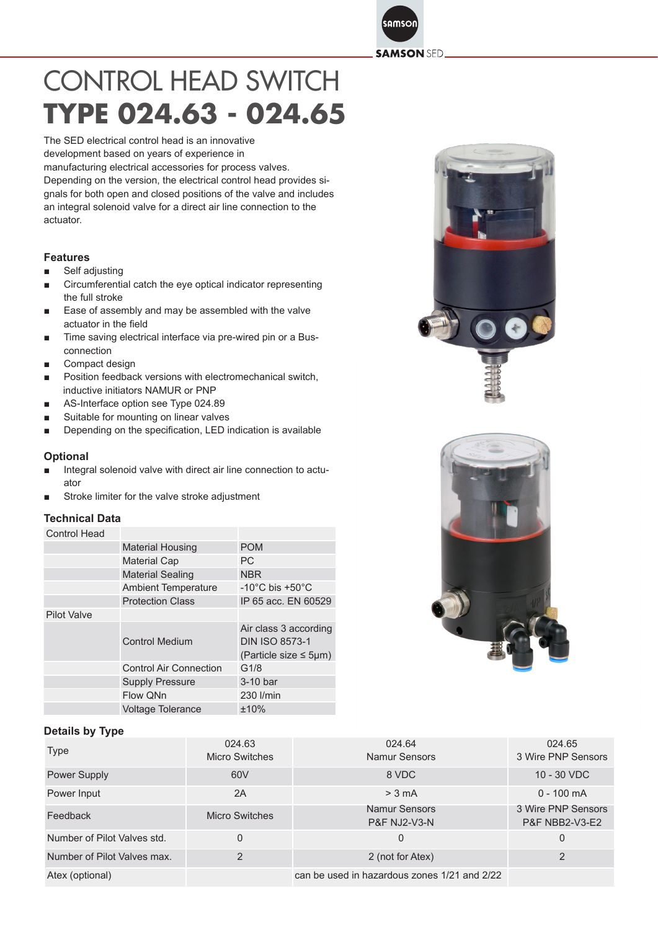samson **SAMSON SED.** 

# CONTROL HEAD SWITCH **TYPE 024.63 - 024.65**

The SED electrical control head is an innovative development based on years of experience in

manufacturing electrical accessories for process valves. Depending on the version, the electrical control head provides signals for both open and closed positions of the valve and includes an integral solenoid valve for a direct air line connection to the actuator.

#### **Features**

- Self adjusting
- Circumferential catch the eye optical indicator representing the full stroke
- Ease of assembly and may be assembled with the valve actuator in the field
- Time saving electrical interface via pre-wired pin or a Busconnection
- Compact design
- Position feedback versions with electromechanical switch, inductive initiators NAMUR or PNP
- AS-Interface option see Type 024.89
- Suitable for mounting on linear valves
- Depending on the specification, LED indication is available

#### **Optional**

- Integral solenoid valve with direct air line connection to actuator
- Stroke limiter for the valve stroke adjustment

#### **Technical Data**

#### Control Head

|                    | <b>Material Housing</b>       | <b>POM</b>                                                                   |
|--------------------|-------------------------------|------------------------------------------------------------------------------|
|                    | <b>Material Cap</b>           | РC                                                                           |
|                    | <b>Material Sealing</b>       | <b>NBR</b>                                                                   |
|                    | <b>Ambient Temperature</b>    | -10 $^{\circ}$ C bis +50 $^{\circ}$ C                                        |
|                    | <b>Protection Class</b>       | IP 65 acc. EN 60529                                                          |
| <b>Pilot Valve</b> |                               |                                                                              |
|                    | <b>Control Medium</b>         | Air class 3 according<br><b>DIN ISO 8573-1</b><br>(Particle size $\leq$ 5µm) |
|                    | <b>Control Air Connection</b> | G1/8                                                                         |
|                    | <b>Supply Pressure</b>        | 3-10 bar                                                                     |
|                    | Flow QNn                      | 230 l/min                                                                    |
|                    | <b>Voltage Tolerance</b>      | ±10%                                                                         |

### **Details by Type**